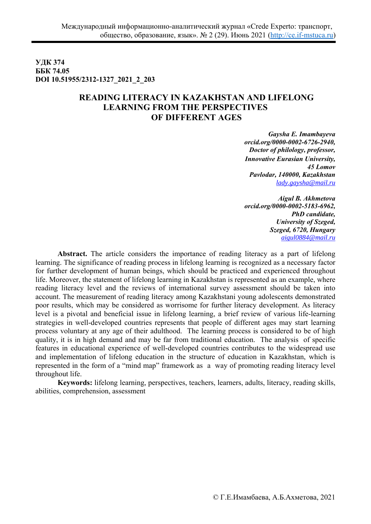**УДК 374 ББК 74.05 DOI 10.51955/2312-1327\_2021\_2\_203** 

## **READING LITERACY IN KAZAKHSTAN AND LIFELONG LEARNING FROM THE PERSPECTIVES OF DIFFERENT AGES**

*Gaysha E. Imambayeva orcid.org/0000-0002-6726-2940, Doctor of philology, professor, Innovative Eurasian University, 45 Lomov Pavlodar, 140000, Kazakhstan lady.gaysha@mail.ru* 

*Aigul B. Akhmetova orcid.org/0000-0002-5183-6962, PhD candidate, University of Szeged, Szeged, 6720, Hungary aigul0884@mail.ru*

**Abstract.** The article considers the importance of reading literacy as a part of lifelong learning. The significance of reading process in lifelong learning is recognized as a necessary factor for further development of human beings, which should be practiced and experienced throughout life. Moreover, the statement of lifelong learning in Kazakhstan is represented as an example, where reading literacy level and the reviews of international survey assessment should be taken into account. The measurement of reading literacy among Kazakhstani young adolescents demonstrated poor results, which may be considered as worrisome for further literacy development. As literacy level is a pivotal and beneficial issue in lifelong learning, a brief review of various life-learning strategies in well-developed countries represents that people of different ages may start learning process voluntary at any age of their adulthood. The learning process is considered to be of high quality, it is in high demand and may be far from traditional education. The analysis of specific features in educational experience of well-developed countries contributes to the widespread use and implementation of lifelong education in the structure of education in Kazakhstan, which is represented in the form of a "mind map" framework as a way of promoting reading literacy level throughout life.

**Keywords:** lifelong learning, perspectives, teachers, learners, adults, literacy, reading skills, abilities, comprehension, assessment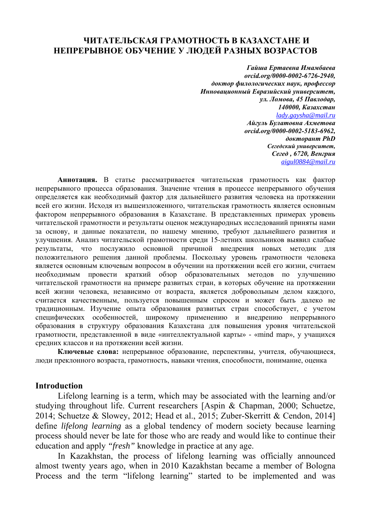## **ЧИТАТЕЛЬСКАЯ ГРАМОТНОСТЬ В КАЗАХСТАНЕ И НЕПРЕРЫВНОЕ ОБУЧЕНИЕ У ЛЮДЕЙ РАЗНЫХ ВОЗРАСТОВ**

*Гайша Ертаевна Имамбаева orcid.org/0000-0002-6726-2940, доктор филологических наук, профессор Инновационный Евразийский университет, ул. Ломова, 45 Павлодар, 140000, Казахстан lady.gaysha@mail.ru Айгуль Булатовна Ахметова orcid.org/0000-0002-5183-6962, докторант PhD Сегедский университет, Сегед , 6720, Венгрия aigul0884@mail.ru*

**Аннотация.** В статье рассматривается читательская грамотность как фактор непрерывного процесса образования. Значение чтения в процессе непрерывного обучения определяется как необходимый фактор для дальнейшего развития человека на протяжении всей его жизни. Исходя из вышеизложенного, читательская грамотность является основным фактором непрерывного образования в Казахстане. В представленных примерах уровень читательской грамотности и результаты оценок международных исследований приняты нами за основу, и данные показатели, по нашему мнению, требуют дальнейшего развития и улучшения. Анализ читательской грамотности среди 15-летних школьников выявил слабые результаты, что послужило основной причиной внедрения новых методик для положительного решения данной проблемы. Поскольку уровень грамотности человека является основным ключевым вопросом в обучении на протяжении всей его жизни, считаем необходимым провести краткий обзор образовательных методов по улучшению читательской грамотности на примере развитых стран, в которых обучение на протяжении всей жизни человека, независимо от возраста, является добровольным делом каждого, считается качественным, пользуется повышенным спросом и может быть далеко не традиционным. Изучение опыта образования развитых стран способствует, с учетом специфических особенностей, широкому применению и внедрению непрерывного образования в структуру образования Казахстана для повышения уровня читательской грамотности, представленной в виде «интеллектуальной карты» - «mind map», у учащихся средних классов и на протяжении всей жизни.

**Ключевые слова:** непрерывное образование, перспективы, учителя, обучающиеся, люди преклонного возраста, грамотность, навыки чтения, способности, понимание, оценка

#### **Introduction**

Lifelong learning is a term, which may be associated with the learning and/or studying throughout life. Current researchers [Aspin & Chapman, 2000; Schuetze, 2014; Schuetze & Slowey, 2012; Head et al., 2015; Zuber-Skerritt & Cendon, 2014] define *lifelong learning* as а global tendency of modern society because learning process should never be late for those who are ready and would like to continue their education and apply *"fresh"* knowledge in practice at any age.

In Kazakhstan, the process of lifelong learning was officially announced almost twenty years ago, when in 2010 Kazakhstan became a member of Bologna Process and the term "lifelong learning" started to be implemented and was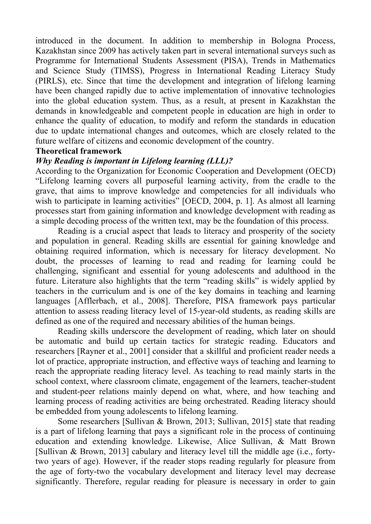introduced in the document. In addition to membership in Bologna Process, Kazakhstan since 2009 has actively taken part in several international surveys such as Programme for International Students Assessment (PISA), Trends in Mathematics and Science Study (TIMSS), Progress in International Reading Literacy Study (PIRLS), etc. Since that time the development and integration of lifelong learning have been changed rapidly due to active implementation of innovative technologies into the global education system. Thus, as a result, at present in Kazakhstan the demands in knowledgeable and competent people in education are high in order to enhance the quality of education, to modify and reform the standards in education due to update international changes and outcomes, which are closely related to the future welfare of citizens and economic development of the country.

### **Theoretical framework**

## *Why Reading is important in Lifelong learning (LLL)?*

According to the Organization for Economic Cooperation and Development (OECD) "Lifelong learning covers all purposeful learning activity, from the cradle to the grave, that aims to improve knowledge and competencies for all individuals who wish to participate in learning activities" [OECD, 2004, p. 1]. As almost all learning processes start from gaining information and knowledge development with reading as a simple decoding process of the written text, may be the foundation of this process.

Reading is a crucial aspect that leads to literacy and prosperity of the society and population in general. Reading skills are essential for gaining knowledge and obtaining required information, which is necessary for literacy development. No doubt, the processes of learning to read and reading for learning could be challenging, significant and essential for young adolescents and adulthood in the future. Literature also highlights that the term "reading skills" is widely applied by teachers in the curriculum and is one of the key domains in teaching and learning languages [Afflerbach, et al., 2008]. Therefore, PISA framework pays particular attention to assess reading literacy level of 15-year-old students, as reading skills are defined as one of the required and necessary abilities of the human beings.

Reading skills underscore the development of reading, which later on should be automatic and build up certain tactics for strategic reading. Educators and researchers [Rayner et al., 2001] consider that a skillful and proficient reader needs a lot of practice, appropriate instruction, and effective ways of teaching and learning to reach the appropriate reading literacy level. As teaching to read mainly starts in the school context, where classroom climate, engagement of the learners, teacher-student and student-peer relations mainly depend on what, where, and how teaching and learning process of reading activities are being orchestrated. Reading literacy should be embedded from young adolescents to lifelong learning.

Some researchers [Sullivan & Brown, 2013; Sullivan, 2015] state that reading is a part of lifelong learning that pays a significant role in the process of continuing education and extending knowledge. Likewise, Alice Sullivan, & Matt Brown [Sullivan & Brown, 2013] cabulary and literacy level till the middle age (i.e., fortytwo years of age). However, if the reader stops reading regularly for pleasure from the age of forty-two the vocabulary development and literacy level may decrease significantly. Therefore, regular reading for pleasure is necessary in order to gain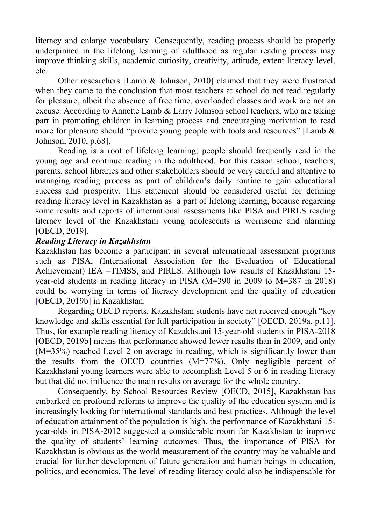literacy and enlarge vocabulary. Consequently, reading process should be properly underpinned in the lifelong learning of adulthood as regular reading process may improve thinking skills, academic curiosity, creativity, attitude, extent literacy level, etc.

Other researchers [Lamb & Johnson, 2010] claimed that they were frustrated when they came to the conclusion that most teachers at school do not read regularly for pleasure, albeit the absence of free time, overloaded classes and work are not an excuse. According to Annette Lamb & Larry Johnson school teachers, who are taking part in promoting children in learning process and encouraging motivation to read more for pleasure should "provide young people with tools and resources" [Lamb  $\&$ Johnson, 2010, p.68].

Reading is a root of lifelong learning; people should frequently read in the young age and continue reading in the adulthood. For this reason school, teachers, parents, school libraries and other stakeholders should be very careful and attentive to managing reading process as part of children's daily routine to gain educational success and prosperity. This statement should be considered useful for defining reading literacy level in Kazakhstan as a part of lifelong learning, because regarding some results and reports of international assessments like PISA and PIRLS reading literacy level of the Kazakhstani young adolescents is worrisome and alarming [OECD, 2019].

## *Reading Literacy in Kazakhstan*

Kazakhstan has become a participant in several international assessment programs such as PISA, (International Association for the Evaluation of Educational Achievement) IEA –TIMSS, and PIRLS. Although low results of Kazakhstani 15 year-old students in reading literacy in PISA (M=390 in 2009 to M=387 in 2018) could be worrying in terms of literacy development and the quality of education [OECD, 2019b] in Kazakhstan.

Regarding OECD reports, Kazakhstani students have not received enough "key knowledge and skills essential for full participation in society" [OECD, 2019a, p.11]. Thus, for example reading literacy of Kazakhstani 15-year-old students in PISA-2018 [OECD, 2019b] means that performance showed lower results than in 2009, and only (M=35%) reached Level 2 on average in reading, which is significantly lower than the results from the OECD countries (M=77%). Only negligible percent of Kazakhstani young learners were able to accomplish Level 5 or 6 in reading literacy but that did not influence the main results on average for the whole country.

Consequently, by School Resources Review [OECD, 2015], Kazakhstan has embarked on profound reforms to improve the quality of the education system and is increasingly looking for international standards and best practices. Although the level of education attainment of the population is high, the performance of Kazakhstani 15 year-olds in PISA-2012 suggested a considerable room for Kazakhstan to improve the quality of students' learning outcomes. Thus, the importance of PISA for Kazakhstan is obvious as the world measurement of the country may be valuable and crucial for further development of future generation and human beings in education, politics, and economics. The level of reading literacy could also be indispensable for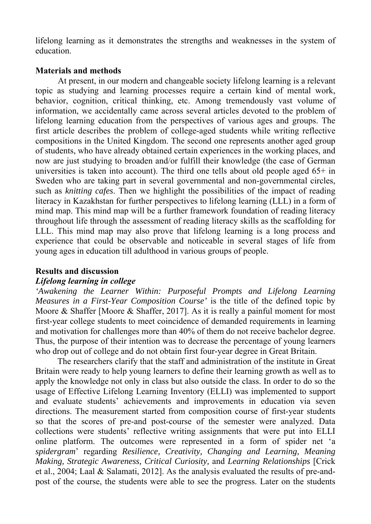lifelong learning as it demonstrates the strengths and weaknesses in the system of education.

### **Materials and methods**

At present, in our modern and changeable society lifelong learning is a relevant topic as studying and learning processes require a certain kind of mental work, behavior, cognition, critical thinking, etc. Among tremendously vast volume of information, we accidentally came across several articles devoted to the problem of lifelong learning education from the perspectives of various ages and groups. The first article describes the problem of college-aged students while writing reflective compositions in the United Kingdom. The second one represents another aged group of students, who have already obtained certain experiences in the working places, and now are just studying to broaden and/or fulfill their knowledge (the case of German universities is taken into account). The third one tells about old people aged  $65+$  in Sweden who are taking part in several governmental and non-governmental circles, such as *knitting cafes*. Then we highlight the possibilities of the impact of reading literacy in Kazakhstan for further perspectives to lifelong learning (LLL) in a form of mind map. This mind map will be a further framework foundation of reading literacy throughout life through the assessment of reading literacy skills as the scaffolding for LLL. This mind map may also prove that lifelong learning is a long process and experience that could be observable and noticeable in several stages of life from young ages in education till adulthood in various groups of people.

## **Results and discussion**

#### *Lifelong learning in college*

*'Awakening the Learner Within: Purposeful Prompts and Lifelong Learning Measures in a First-Year Composition Course'* is the title of the defined topic by Moore & Shaffer [Moore & Shaffer, 2017]. As it is really a painful moment for most first-year college students to meet coincidence of demanded requirements in learning and motivation for challenges more than 40% of them do not receive bachelor degree. Thus, the purpose of their intention was to decrease the percentage of young learners who drop out of college and do not obtain first four-year degree in Great Britain.

The researchers clarify that the staff and administration of the institute in Great Britain were ready to help young learners to define their learning growth as well as to apply the knowledge not only in class but also outside the class. In order to do so the usage of Effective Lifelong Learning Inventory (ELLI) was implemented to support and evaluate students' achievements and improvements in education via seven directions. The measurement started from composition course of first-year students so that the scores of pre-and post-course of the semester were analyzed. Data collections were students' reflective writing assignments that were put into ELLI online platform. The outcomes were represented in a form of spider net 'a *spidergram*' regarding *Resilience, Creativity, Changing and Learning, Meaning Making, Strategic Awareness, Critical Curiosity,* and *Learning Relationships* [Crick et al., 2004; Laal & Salamati, 2012]. As the analysis evaluated the results of pre-andpost of the course, the students were able to see the progress. Later on the students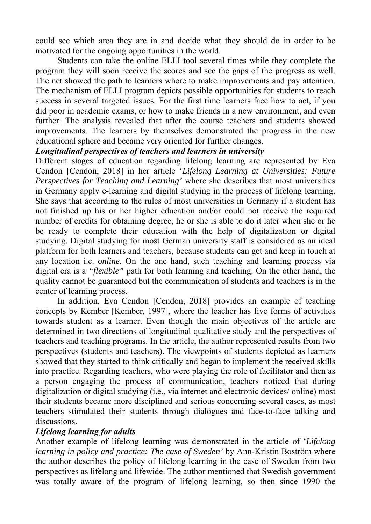could see which area they are in and decide what they should do in order to be motivated for the ongoing opportunities in the world.

Students can take the online ELLI tool several times while they complete the program they will soon receive the scores and see the gaps of the progress as well. The net showed the path to learners where to make improvements and pay attention. The mechanism of ELLI program depicts possible opportunities for students to reach success in several targeted issues. For the first time learners face how to act, if you did poor in academic exams, or how to make friends in a new environment, and even further. The analysis revealed that after the course teachers and students showed improvements. The learners by themselves demonstrated the progress in the new educational sphere and became very oriented for further changes.

### *Longitudinal perspectives of teachers and learners in university*

Different stages of education regarding lifelong learning are represented by Eva Cendon [Cendon, 2018] in her article '*Lifelong Learning at Universities: Future Perspectives for Teaching and Learning'* where she describes that most universities in Germany apply e-learning and digital studying in the process of lifelong learning. She says that according to the rules of most universities in Germany if a student has not finished up his or her higher education and/or could not receive the required number of credits for obtaining degree, he or she is able to do it later when she or he be ready to complete their education with the help of digitalization or digital studying. Digital studying for most German university staff is considered as an ideal platform for both learners and teachers, because students can get and keep in touch at any location i.e. *online*. On the one hand, such teaching and learning process via digital era is a *"flexible"* path for both learning and teaching. On the other hand, the quality cannot be guaranteed but the communication of students and teachers is in the center of learning process.

In addition, Eva Cendon [Cendon, 2018] provides an example of teaching concepts by Kember [Kember, 1997], where the teacher has five forms of activities towards student as a learner. Even though the main objectives of the article are determined in two directions of longitudinal qualitative study and the perspectives of teachers and teaching programs. In the article, the author represented results from two perspectives (students and teachers). The viewpoints of students depicted as learners showed that they started to think critically and began to implement the received skills into practice. Regarding teachers, who were playing the role of facilitator and then as a person engaging the process of communication, teachers noticed that during digitalization or digital studying (i.e., via internet and electronic devices/ online) most their students became more disciplined and serious concerning several cases, as most teachers stimulated their students through dialogues and face-to-face talking and discussions.

## *Lifelong learning for adults*

Another example of lifelong learning was demonstrated in the article of '*Lifelong learning in policy and practice: The case of Sweden'* by Ann-Kristin Boström where the author describes the policy of lifelong learning in the case of Sweden from two perspectives as lifelong and lifewide. The author mentioned that Swedish government was totally aware of the program of lifelong learning, so then since 1990 the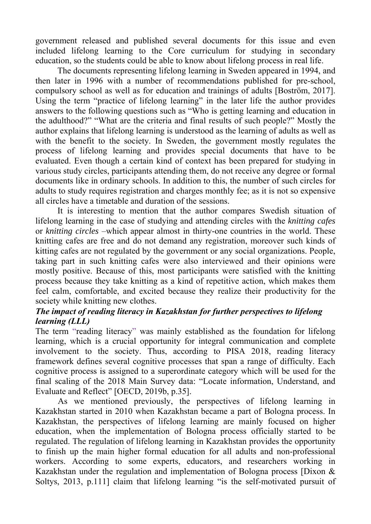government released and published several documents for this issue and even included lifelong learning to the Core curriculum for studying in secondary education, so the students could be able to know about lifelong process in real life.

The documents representing lifelong learning in Sweden appeared in 1994, and then later in 1996 with a number of recommendations published for pre-school, compulsory school as well as for education and trainings of adults [Boström, 2017]. Using the term "practice of lifelong learning" in the later life the author provides answers to the following questions such as "Who is getting learning and education in the adulthood?" "What are the criteria and final results of such people?" Mostly the author explains that lifelong learning is understood as the learning of adults as well as with the benefit to the society. In Sweden, the government mostly regulates the process of lifelong learning and provides special documents that have to be evaluated. Even though a certain kind of context has been prepared for studying in various study circles, participants attending them, do not receive any degree or formal documents like in ordinary schools. In addition to this, the number of such circles for adults to study requires registration and charges monthly fee; as it is not so expensive all circles have a timetable and duration of the sessions.

It is interesting to mention that the author compares Swedish situation of lifelong learning in the case of studying and attending circles with the *knitting cafes* or *knitting circles* –which appear almost in thirty-one countries in the world. These knitting cafes are free and do not demand any registration, moreover such kinds of kitting cafes are not regulated by the government or any social organizations. People, taking part in such knitting cafes were also interviewed and their opinions were mostly positive. Because of this, most participants were satisfied with the knitting process because they take knitting as a kind of repetitive action, which makes them feel calm, comfortable, and excited because they realize their productivity for the society while knitting new clothes.

# *The impact of reading literacy in Kazakhstan for further perspectives to lifelong learning (LLL)*

The term "reading literacy" was mainly established as the foundation for lifelong learning, which is a crucial opportunity for integral communication and complete involvement to the society. Thus, according to PISA 2018, reading literacy framework defines several cognitive processes that span a range of difficulty. Each cognitive process is assigned to a superordinate category which will be used for the final scaling of the 2018 Main Survey data: "Locate information, Understand, and Evaluate and Reflect" [OECD, 2019b, p.35].

As we mentioned previously, the perspectives of lifelong learning in Kazakhstan started in 2010 when Kazakhstan became a part of Bologna process. In Kazakhstan, the perspectives of lifelong learning are mainly focused on higher education, when the implementation of Bologna process officially started to be regulated. The regulation of lifelong learning in Kazakhstan provides the opportunity to finish up the main higher formal education for all adults and non-professional workers. According to some experts, educators, and researchers working in Kazakhstan under the regulation and implementation of Bologna process [Dixon & Soltys, 2013, p.111] claim that lifelong learning "is the self-motivated pursuit of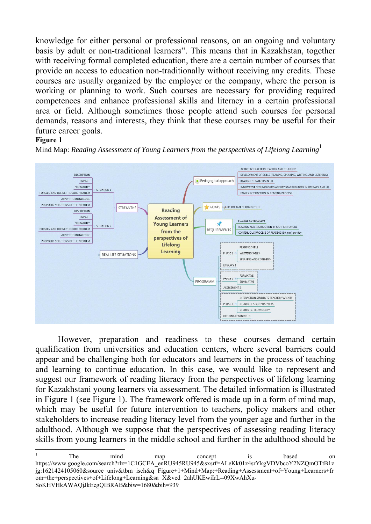knowledge for either personal or professional reasons, on an ongoing and voluntary basis by adult or non-traditional learners". This means that in Kazakhstan, together with receiving formal completed education, there are a certain number of courses that provide an access to education non-traditionally without receiving any credits. These courses are usually organized by the employer or the company, where the person is working or planning to work. Such courses are necessary for providing required competences and enhance professional skills and literacy in a certain professional area or field. Although sometimes those people attend such courses for personal demands, reasons and interests, they think that these courses may be useful for their future career goals.

#### **Figure 1**



Mind Map: *Reading Assessment of Young Learners from the perspectives of Lifelong Learning*<sup>1</sup>

However, preparation and readiness to these courses demand certain qualification from universities and education centers, where several barriers could appear and be challenging both for educators and learners in the process of teaching and learning to continue education. In this case, we would like to represent and suggest our framework of reading literacy from the perspectives of lifelong learning for Kazakhstani young learners via assessment. The detailed information is illustrated in Figure 1 (see Figure 1). The framework offered is made up in a form of mind map, which may be useful for future intervention to teachers, policy makers and other stakeholders to increase reading literacy level from the younger age and further in the adulthood. Although we suppose that the perspectives of assessing reading literacy skills from young learners in the middle school and further in the adulthood should be

<sup>1</sup> The mind map concept is based on https://www.google.com/search?rlz=1C1GCEA\_enRU945RU945&sxsrf=ALeKk01z4srYkgVDVbcoY2NZQmOTtB1z jg:1621424105060&source=univ&tbm=isch&q=Figure+1+Mind+Map:+Reading+Assessment+of+Young+Learners+fr om+the+perspectives+of+Lifelong+Learning&sa=X&ved=2ahUKEwiIrL--09XwAhXu-SoKHVHkAWAQjJkEegQIBRAB&biw=1680&bih=939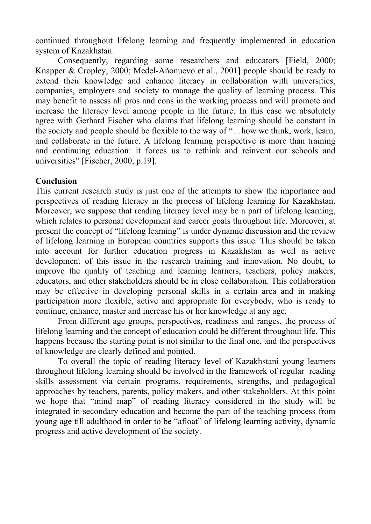continued throughout lifelong learning and frequently implemented in education system of Kazakhstan.

Consequently, regarding some researchers and educators [Field, 2000; Knapper & Cropley, 2000; Medel-Añonuevo et al., 2001] people should be ready to extend their knowledge and enhance literacy in collaboration with universities, companies, employers and society to manage the quality of learning process. This may benefit to assess all pros and cons in the working process and will promote and increase the literacy level among people in the future. In this case we absolutely agree with Gerhard Fischer who claims that lifelong learning should be constant in the society and people should be flexible to the way of "…how we think, work, learn, and collaborate in the future. A lifelong learning perspective is more than training and continuing education: it forces us to rethink and reinvent our schools and universities" [Fischer, 2000, p.19].

## **Conclusion**

This current research study is just one of the attempts to show the importance and perspectives of reading literacy in the process of lifelong learning for Kazakhstan. Moreover, we suppose that reading literacy level may be a part of lifelong learning, which relates to personal development and career goals throughout life. Moreover, at present the concept of "lifelong learning" is under dynamic discussion and the review of lifelong learning in European countries supports this issue. This should be taken into account for further education progress in Kazakhstan as well as active development of this issue in the research training and innovation. No doubt, to improve the quality of teaching and learning learners, teachers, policy makers, educators, and other stakeholders should be in close collaboration. This collaboration may be effective in developing personal skills in a certain area and in making participation more flexible, active and appropriate for everybody, who is ready to continue, enhance, master and increase his or her knowledge at any age.

From different age groups, perspectives, readiness and ranges, the process of lifelong learning and the concept of education could be different throughout life. This happens because the starting point is not similar to the final one, and the perspectives of knowledge are clearly defined and pointed.

To overall the topic of reading literacy level of Kazakhstani young learners throughout lifelong learning should be involved in the framework of regular reading skills assessment via certain programs, requirements, strengths, and pedagogical approaches by teachers, parents, policy makers, and other stakeholders. At this point we hope that "mind map" of reading literacy considered in the study will be integrated in secondary education and become the part of the teaching process from young age till adulthood in order to be "afloat" of lifelong learning activity, dynamic progress and active development of the society.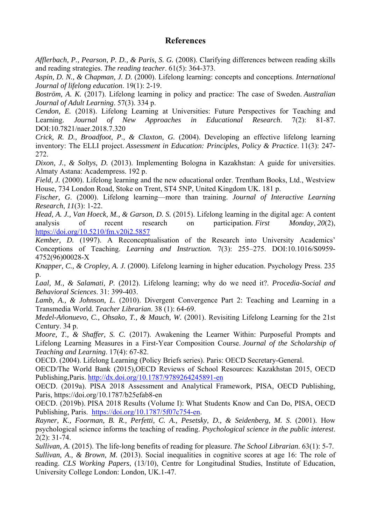#### **References**

*Afflerbach, P., Pearson, P. D., & Paris, S. G.* (2008). Clarifying differences between reading skills and reading strategies. *The reading teacher*. 61(5): 364-373.

*Aspin, D. N., & Chapman, J. D.* (2000). Lifelong learning: concepts and conceptions. *International Journal of lifelong education*. 19(1): 2-19.

*Boström, A. K.* (2017). Lifelong learning in policy and practice: The case of Sweden. *Australian Journal of Adult Learning*. 57(3). 334 p.

*Cendon, E.* (2018). Lifelong Learning at Universities: Future Perspectives for Teaching and Learning. *Journal of New Approaches in Educational Research*. 7(2): 81-87. DOI:10.7821/naer.2018.7.320

*Crick, R. D., Broadfoot, P., & Claxton, G.* (2004). Developing an effective lifelong learning inventory: The ELLI project. *Assessment in Education: Principles, Policy & Practice*. 11(3): 247- 272.

*Dixon, J., & Soltys, D.* (2013). Implementing Bologna in Kazakhstan: A guide for universities. Almaty Astana: Academpress. 192 p.

*Field, J.* (2000). Lifelong learning and the new educational order. Trentham Books, Ltd., Westview House, 734 London Road, Stoke on Trent, ST4 5NP, United Kingdom UK. 181 p.

*Fischer, G*. (2000). Lifelong learning—more than training. *Journal of Interactive Learning Research*, *11*(3): 1-22.

*Head, A. J., Van Hoeck, M., & Garson, D. S.* (2015). Lifelong learning in the digital age: A content analysis of recent research on participation. *First Monday*, *20*(2), https://doi.org/10.5210/fm.v20i2.5857

*Kember, D.* (1997). A Reconceptualisation of the Research into University Academics' Conceptions of Teaching. *Learning and Instruction.* 7(3): 255–275. DOI:10.1016/S0959- 4752(96)00028-X

*Knapper, C., & Cropley, A. J.* (2000). Lifelong learning in higher education. Psychology Press. 235 p.

*Laal, M., & Salamati, P.* (2012). Lifelong learning; why do we need it?. *Procedia-Social and Behavioral Sciences*. 31: 399-403.

*Lamb, A., & Johnson, L.* (2010). Divergent Convergence Part 2: Teaching and Learning in a Transmedia World. *Teacher Librarian*. 38 (1): 64-69.

*Medel-Añonuevo, C., Ohsako, T., & Mauch, W.* (2001). Revisiting Lifelong Learning for the 21st Century. 34 p.

*Moore, T., & Shaffer, S. C.* (2017). Awakening the Learner Within: Purposeful Prompts and Lifelong Learning Measures in a First-Year Composition Course. *Journal of the Scholarship of Teaching and Learning*. 17(4): 67-82.

OECD. (2004). Lifelong Learning (Policy Briefs series). Paris: OECD Secretary-General.

OECD/The World Bank (2015),OECD Reviews of School Resources: Kazakhstan 2015, OECD Publishing,Paris. http://dx.doi.org/10.1787/9789264245891-en

OECD. (2019a). PISA 2018 Assessment and Analytical Framework, PISA, OECD Publishing, Paris, https://doi.org/10.1787/b25efab8-en

OECD. (2019b). PISA 2018 Results (Volume I): What Students Know and Can Do, PISA, OECD Publishing, Paris. https://doi.org/10.1787/5f07c754-en.

*Rayner, K., Foorman, B. R., Perfetti, C. A., Pesetsky, D., & Seidenberg, M. S*. (2001). How psychological science informs the teaching of reading. *Psychological science in the public interest*. 2(2): 31-74.

*Sullivan, A.* (2015). The life-long benefits of reading for pleasure. *The School Librarian*. 63(1): 5-7. *Sullivan, A., & Brown, M.* (2013). Social inequalities in cognitive scores at age 16: The role of reading. *CLS Working Papers*, (13/10), Centre for Longitudinal Studies, Institute of Education, University College London: London, UK.1-47.